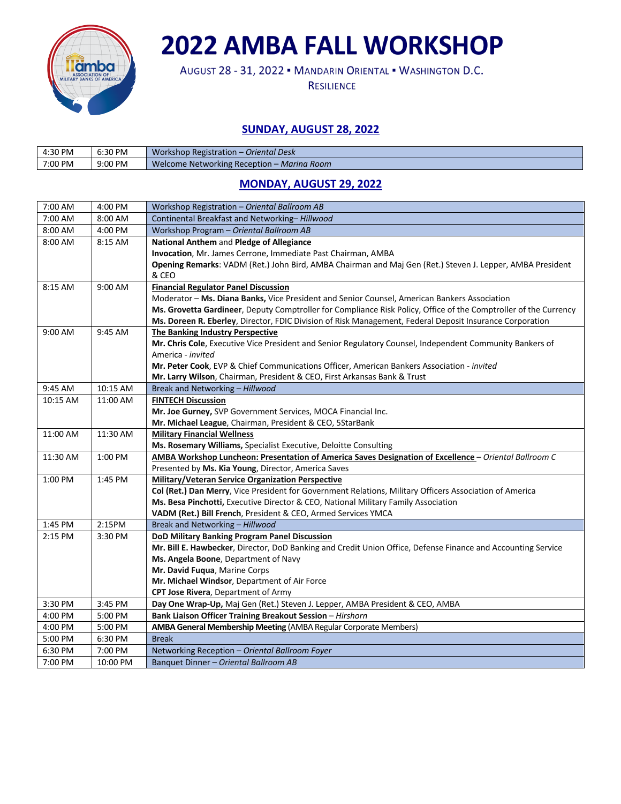

# **2022 AMBA FALL WORKSHOP**

AUGUST 28 - 31, 2022 . MANDARIN ORIENTAL . WASHINGTON D.C.

**RESILIENCE** 

### **SUNDAY, AUGUST 28, 2022**

| 4:30 PM | 6:30 PM | Workshop Registration – Oriental Desk      |
|---------|---------|--------------------------------------------|
| 7:00 PM | 9:00 PM | Welcome Networking Reception - Marina Room |

## **MONDAY, AUGUST 29, 2022**

| 7:00 AM  | 4:00 PM  | Workshop Registration - Oriental Ballroom AB                                                                     |
|----------|----------|------------------------------------------------------------------------------------------------------------------|
| 7:00 AM  | 8:00 AM  | Continental Breakfast and Networking-Hillwood                                                                    |
| 8:00 AM  | 4:00 PM  | Workshop Program - Oriental Ballroom AB                                                                          |
| 8:00 AM  | 8:15 AM  | National Anthem and Pledge of Allegiance                                                                         |
|          |          | Invocation, Mr. James Cerrone, Immediate Past Chairman, AMBA                                                     |
|          |          | Opening Remarks: VADM (Ret.) John Bird, AMBA Chairman and Maj Gen (Ret.) Steven J. Lepper, AMBA President        |
|          |          | & CEO                                                                                                            |
| 8:15 AM  | 9:00 AM  | <b>Financial Regulator Panel Discussion</b>                                                                      |
|          |          | Moderator - Ms. Diana Banks, Vice President and Senior Counsel, American Bankers Association                     |
|          |          | Ms. Grovetta Gardineer, Deputy Comptroller for Compliance Risk Policy, Office of the Comptroller of the Currency |
|          |          | Ms. Doreen R. Eberley, Director, FDIC Division of Risk Management, Federal Deposit Insurance Corporation         |
| 9:00 AM  | 9:45 AM  | <b>The Banking Industry Perspective</b>                                                                          |
|          |          | Mr. Chris Cole, Executive Vice President and Senior Regulatory Counsel, Independent Community Bankers of         |
|          |          | America - invited                                                                                                |
|          |          | Mr. Peter Cook, EVP & Chief Communications Officer, American Bankers Association - invited                       |
|          |          | Mr. Larry Wilson, Chairman, President & CEO, First Arkansas Bank & Trust                                         |
| 9:45 AM  | 10:15 AM | Break and Networking - Hillwood                                                                                  |
| 10:15 AM | 11:00 AM | <b>FINTECH Discussion</b>                                                                                        |
|          |          | Mr. Joe Gurney, SVP Government Services, MOCA Financial Inc.                                                     |
|          |          | Mr. Michael League, Chairman, President & CEO, 5StarBank                                                         |
| 11:00 AM | 11:30 AM | <b>Military Financial Wellness</b>                                                                               |
|          |          | Ms. Rosemary Williams, Specialist Executive, Deloitte Consulting                                                 |
| 11:30 AM | 1:00 PM  | AMBA Workshop Luncheon: Presentation of America Saves Designation of Excellence - Oriental Ballroom C            |
|          |          | Presented by Ms. Kia Young, Director, America Saves                                                              |
| 1:00 PM  | 1:45 PM  | Military/Veteran Service Organization Perspective                                                                |
|          |          | Col (Ret.) Dan Merry, Vice President for Government Relations, Military Officers Association of America          |
|          |          | Ms. Besa Pinchotti, Executive Director & CEO, National Military Family Association                               |
|          |          | VADM (Ret.) Bill French, President & CEO, Armed Services YMCA                                                    |
| 1:45 PM  | 2:15PM   | Break and Networking - Hillwood                                                                                  |
| 2:15 PM  | 3:30 PM  | DoD Military Banking Program Panel Discussion                                                                    |
|          |          | Mr. Bill E. Hawbecker, Director, DoD Banking and Credit Union Office, Defense Finance and Accounting Service     |
|          |          | Ms. Angela Boone, Department of Navy                                                                             |
|          |          | Mr. David Fuqua, Marine Corps                                                                                    |
|          |          | Mr. Michael Windsor, Department of Air Force                                                                     |
|          |          | CPT Jose Rivera, Department of Army                                                                              |
| 3:30 PM  | 3:45 PM  | Day One Wrap-Up, Maj Gen (Ret.) Steven J. Lepper, AMBA President & CEO, AMBA                                     |
| 4:00 PM  | 5:00 PM  | Bank Liaison Officer Training Breakout Session - Hirshorn                                                        |
| 4:00 PM  | 5:00 PM  | AMBA General Membership Meeting (AMBA Regular Corporate Members)                                                 |
| 5:00 PM  | 6:30 PM  | <b>Break</b>                                                                                                     |
| 6:30 PM  | 7:00 PM  | Networking Reception - Oriental Ballroom Foyer                                                                   |
| 7:00 PM  | 10:00 PM | Banquet Dinner - Oriental Ballroom AB                                                                            |